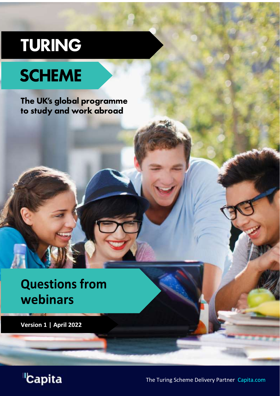# TURING

# **SCHEME**

The UK's global programme to study and work abroad

# **Questions from** webinars

Version 1 | April 2022



The Turing Scheme Delivery Partner Capita.com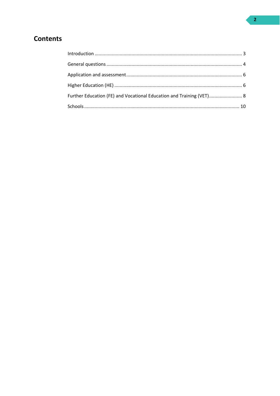# **Contents**

<span id="page-1-0"></span>

| Further Education (FE) and Vocational Education and Training (VET) 8 |  |
|----------------------------------------------------------------------|--|
|                                                                      |  |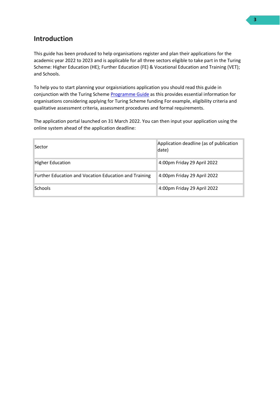# **Introduction**

This guide has been produced to help organisations register and plan their applications for the academic year 2022 to 2023 and is applicable for all three sectors eligible to take part in the Turing Scheme: Higher Education (HE); Further Education (FE) & Vocational Education and Training (VET); and Schools.

To help you to start planning your orgaisniations application you should read this guide in conjunction with the Turing Scheme [Programme Guide](https://www.turing-scheme.org.uk/wp-content/uploads/2022/02/Turing-Scheme-Programme-Guide.pdf) as this provides essential information for organisations considering applying for Turing Scheme funding For example, eligibility criteria and qualitative assessment criteria, assessment procedures and formal requirements.

The application portal launched on 31 March 2022. You can then input your application using the online system ahead of the application deadline:

| Sector                                                | Application deadline (as of publication<br>date) |
|-------------------------------------------------------|--------------------------------------------------|
| <b>Higher Education</b>                               | 4:00pm Friday 29 April 2022                      |
| Further Education and Vocation Education and Training | 4:00pm Friday 29 April 2022                      |
| Schools                                               | 4:00pm Friday 29 April 2022                      |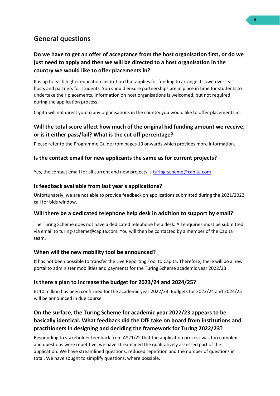# <span id="page-3-0"></span>**General questions**

#### **Do we have to get an offer of acceptance from the host organisation first, or do we just need to apply and then we will be directed to a host organisation in the country we would like to offer placements in?**

It is up to each higher education institution that applies for funding to arrange its own overseas hosts and partners for students. You should ensure partnerships are in place in time for students to undertake their placements. Information on host organisations is welcomed, but not required, during the application process.

Capita will not direct you to any organisations in the country you would like to offer placements in.

#### **Will the total score affect how much of the original bid funding amount we receive, or is it either pass/fail? What is the cut off percentage?**

Please refer to the Programme Guide from pages 19 onwards which provides more information.

#### **Is the contact email for new applicants the same as for current projects?**

Yes, the contact email for all current and new projects is [turing-scheme@capita.com](mailto:turing-scheme@capita.com)

#### **Is feedback available from last year's applications?**

Unfortunately, we are not able to provide feedback on applications submitted during the 2021/2022 call for bids window.

#### **Will there be a dedicated telephone help desk in addition to support by email?**

The Turing Scheme does not have a dedicated telephone help desk. All enquiries must be submitted via email to turing-scheme@capita.com. You will then be contacted by a member of the Capita team.

#### **When will the new mobility tool be announced?**

It has not been possible to transfer the Live Reporting Tool to Capita. Therefore, there will be a new portal to administer mobilities and payments for the Turing Scheme academic year 2022/23.

#### **Is there a plan to increase the budget for 2023/24 and 2024/25?**

£110 million has been confirmed for the academic year 2022/23. Budgets for 2023/24 and 2024/25 will be announced in due course.

# **On the surface, the Turing Scheme for academic year 2022/23 appears to be basically identical. What feedback did the DfE take on board from institutions and practitioners in designing and deciding the framework for Turing 2022/23?**

Responding to stakeholder feedback from AY21/22 that the application process was too complex and questions were repetitive, we have streamlined the qualitatively assessed part of the application. We have streamlined questions, reduced repetition and the number of questions in total. We have sought to simplify questions, where possible.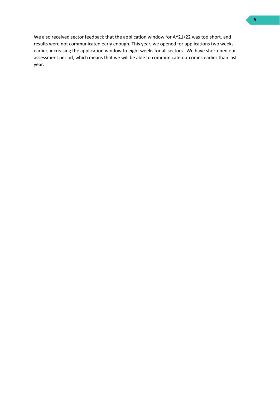We also received sector feedback that the application window for AY21/22 was too short, and results were not communicated early enough. This year, we opened for applications two weeks earlier, increasing the application window to eight weeks for all sectors. We have shortened our assessment period, which means that we will be able to communicate outcomes earlier than last year.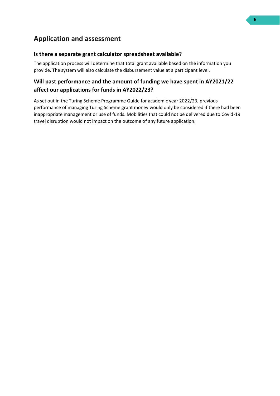# <span id="page-5-0"></span>**Application and assessment**

#### **Is there a separate grant calculator spreadsheet available?**

The application process will determine that total grant available based on the information you provide. The system will also calculate the disbursement value at a participant level.

#### <span id="page-5-1"></span>**Will past performance and the amount of funding we have spent in AY2021/22 affect our applications for funds in AY2022/23?**

As set out in the Turing Scheme Programme Guide for academic year 2022/23, previous performance of managing Turing Scheme grant money would only be considered if there had been inappropriate management or use of funds. Mobilities that could not be delivered due to Covid-19 travel disruption would not impact on the outcome of any future application.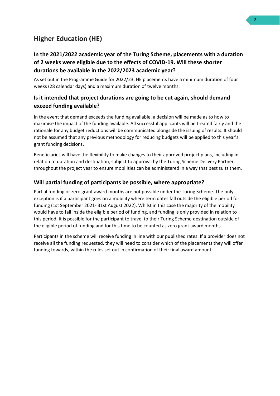# **Higher Education (HE)**

#### **In the 2021/2022 academic year of the Turing Scheme, placements with a duration of 2 weeks were eligible due to the effects of COVID-19. Will these shorter durations be available in the 2022/2023 academic year?**

As set out in the Programme Guide for 2022/23, HE placements have a minimum duration of four weeks (28 calendar days) and a maximum duration of twelve months.

#### **Is it intended that project durations are going to be cut again, should demand exceed funding available?**

In the event that demand exceeds the funding available, a decision will be made as to how to maximise the impact of the funding available. All successful applicants will be treated fairly and the rationale for any budget reductions will be communicated alongside the issuing of results. It should not be assumed that any previous methodology for reducing budgets will be applied to this year's grant funding decisions.

Beneficiaries will have the flexibility to make changes to their approved project plans, including in relation to duration and destination, subject to approval by the Turing Scheme Delivery Partner, throughout the project year to ensure mobilities can be administered in a way that best suits them.

#### **Will partial funding of participants be possible, where appropriate?**

Partial funding or zero grant award months are not possible under the Turing Scheme. The only exception is if a participant goes on a mobility where term dates fall outside the eligible period for funding (1st September 2021- 31st August 2022). Whilst in this case the majority of the mobility would have to fall inside the eligible period of funding, and funding is only provided in relation to this period, it is possible for the participant to travel to their Turing Scheme destination outside of the eligible period of funding and for this time to be counted as zero grant award months.

Participants in the scheme will receive funding in line with our published rates. If a provider does not receive all the funding requested, they will need to consider which of the placements they will offer funding towards, within the rules set out in confirmation of their final award amount.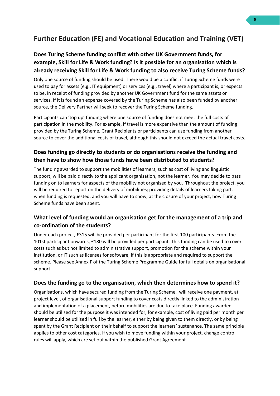# <span id="page-7-0"></span>**Further Education (FE) and Vocational Education and Training (VET)**

#### **Does Turing Scheme funding conflict with other UK Government funds, for example, Skill for Life & Work funding? Is it possible for an organisation which is already receiving Skill for Life & Work funding to also receive Turing Scheme funds?**

Only one source of funding should be used. There would be a conflict if Turing Scheme funds were used to pay for assets (e.g., IT equipment) or services (e.g., travel) where a participant is, or expects to be, in receipt of funding provided by another UK Government fund for the same assets or services. If it is found an expense covered by the Turing Scheme has also been funded by another source, the Delivery Partner will seek to recover the Turing Scheme funding.

Participants can 'top up' funding where one source of funding does not meet the full costs of participation in the mobility. For example, if travel is more expensive than the amount of funding provided by the Turing Scheme, Grant Recipients or participants can use funding from another source to cover the additional costs of travel, although this should not exceed the actual travel costs.

#### **Does funding go directly to students or do organisations receive the funding and then have to show how those funds have been distributed to students?**

The funding awarded to support the mobilities of learners, such as cost of living and linguistic support, will be paid directly to the applicant organisation, not the learner. You may decide to pass funding on to learners for aspects of the mobility not organised by you. Throughout the project, you will be required to report on the delivery of mobilities; providing details of learners taking part, when funding is requested, and you will have to show, at the closure of your project, how Turing Scheme funds have been spent.

#### **What level of funding would an organisation get for the management of a trip and co-ordination of the students?**

Under each project, £315 will be provided per participant for the first 100 participants. From the 101st participant onwards, £180 will be provided per participant. This funding can be used to cover costs such as but not limited to administrative support, promotion for the scheme within your institution, or IT such as licenses for software, if this is appropriate and required to support the scheme. Please see Annex F of the Turing Scheme Programme Guide for full details on organisational support.

#### **Does the funding go to the organisation, which then determines how to spend it?**

Organisations, which have secured funding from the Turing Scheme, will receive one payment, at project level, of organisational support funding to cover costs directly linked to the administration and implementation of a placement, before mobilities are due to take place. Funding awarded should be utilised for the purpose it was intended for, for example, cost of living paid per month per learner should be utilised in full by the learner, either by being given to them directly, or by being spent by the Grant Recipient on their behalf to support the learners' sustenance. The same principle applies to other cost categories. If you wish to move funding within your project, change control rules will apply, which are set out within the published Grant Agreement.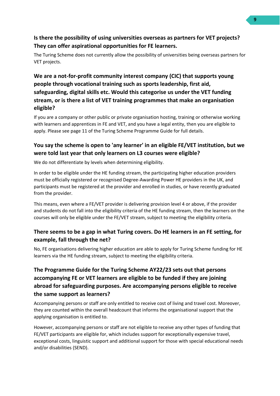#### **Is there the possibility of using universities overseas as partners for VET projects? They can offer aspirational opportunities for FE learners.**

The Turing Scheme does not currently allow the possibility of universities being overseas partners for VET projects.

### **We are a not-for-profit community interest company (CIC) that supports young people through vocational training such as sports leadership, first aid, safeguarding, digital skills etc. Would this categorise us under the VET funding stream, or is there a list of VET training programmes that make an organisation eligible?**

If you are a company or other public or private organisation hosting, training or otherwise working with learners and apprentices in FE and VET, and you have a legal entity, then you are eligible to apply. Please see page 11 of the Turing Scheme Programme Guide for full details.

### **You say the scheme is open to 'any learner' in an eligible FE/VET institution, but we were told last year that only learners on L3 courses were eligible?**

We do not differentiate by levels when determining eligibility.

In order to be eligible under the HE funding stream, the participating higher education providers must be officially registered or recognised Degree-Awarding Power HE providers in the UK, and participants must be registered at the provider and enrolled in studies, or have recently graduated from the provider.

This means, even where a FE/VET provider is delivering provision level 4 or above, if the provider and students do not fall into the eligibility criteria of the HE funding stream, then the learners on the courses will only be eligible under the FE/VET stream, subject to meeting the eligibility criteria.

#### **There seems to be a gap in what Turing covers. Do HE learners in an FE setting, for example, fall through the net?**

No, FE organisations delivering higher education are able to apply for Turing Scheme funding for HE learners via the HE funding stream, subject to meeting the eligibility criteria.

### **The Programme Guide for the Turing Scheme AY22/23 sets out that persons accompanying FE or VET learners are eligible to be funded if they are joining abroad for safeguarding purposes. Are accompanying persons eligible to receive the same support as learners?**

Accompanying persons or staff are only entitled to receive cost of living and travel cost. Moreover, they are counted within the overall headcount that informs the organisational support that the applying organisation is entitled to.

However, accompanying persons or staff are not eligible to receive any other types of funding that FE/VET participants are eligible for, which includes support for exceptionally expensive travel, exceptional costs, linguistic support and additional support for those with special educational needs and/or disabilities (SEND).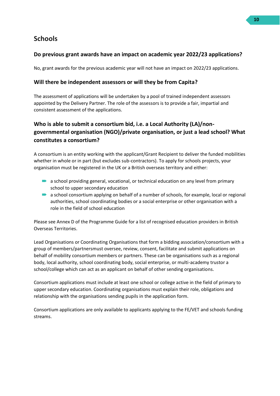# <span id="page-9-0"></span>**Schools**

#### **Do previous grant awards have an impact on academic year 2022/23 applications?**

No, grant awards for the previous academic year will not have an impact on 2022/23 applications.

#### **Will there be independent assessors or will they be from Capita?**

The assessment of applications will be undertaken by a pool of trained independent assessors appointed by the Delivery Partner. The role of the assessors is to provide a fair, impartial and consistent assessment of the applications.

# **Who is able to submit a consortium bid, i.e. a Local Authority (LA)/nongovernmental organisation (NGO)/private organisation, or just a lead school? What constitutes a consortium?**

A consortium is an entity working with the applicant/Grant Recipient to deliver the funded mobilities whether in whole or in part (but excludes sub-contractors). To apply for schools projects, your organisation must be registered in the UK or a British overseas territory and either:

- **•** a school providing general, vocational, or technical education on any level from primary school to upper secondary education
- a school consortium applying on behalf of a number of schools, for example, local or regional authorities, school coordinating bodies or a social enterprise or other organisation with a role in the field of school education

Please see Annex D of the Programme Guide for a list of recognised education providers in British Overseas Territories.

Lead Organisations or Coordinating Organisations that form a bidding association/consortium with a group of members/partnersmust oversee, review, consent, facilitate and submit applications on behalf of mobility consortium members or partners. These can be organisations such as a regional body, local authority, school coordinating body, social enterprise, or multi-academy trustor a school/college which can act as an applicant on behalf of other sending organisations.

Consortium applications must include at least one school or college active in the field of primary to upper secondary education. Coordinating organisations must explain their role, obligations and relationship with the organisations sending pupils in the application form.

Consortium applications are only available to applicants applying to the FE/VET and schools funding streams.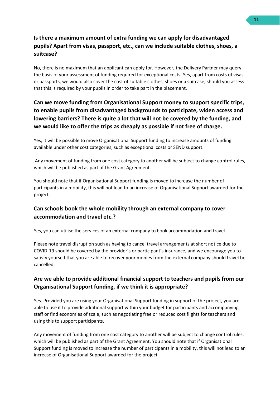#### **Is there a maximum amount of extra funding we can apply for disadvantaged pupils? Apart from visas, passport, etc., can we include suitable clothes, shoes, a suitcase?**

No, there is no maximum that an applicant can apply for. However, the Delivery Partner may query the basis of your assessment of funding required for exceptional costs. Yes, apart from costs of visas or passports, we would also cover the cost of suitable clothes, shoes or a suitcase, should you assess that this is required by your pupils in order to take part in the placement.

### **Can we move funding from Organisational Support money to support specific trips, to enable pupils from disadvantaged backgrounds to participate, widen access and lowering barriers? There is quite a lot that will not be covered by the funding, and we would like to offer the trips as cheaply as possible if not free of charge.**

Yes, it will be possible to move Organisational Support funding to increase amounts of funding available under other cost categories, such as exceptional costs or SEND support.

Any movement of funding from one cost category to another will be subject to change control rules, which will be published as part of the Grant Agreement.

You should note that if Organisational Support funding is moved to increase the number of participants in a mobility, this will not lead to an increase of Organisational Support awarded for the project.

#### **Can schools book the whole mobility through an external company to cover accommodation and travel etc.?**

Yes, you can utilise the services of an external company to book accommodation and travel.

Please note travel disruption such as having to cancel travel arrangements at short notice due to COVID-19 should be covered by the provider's or participant's insurance, and we encourage you to satisfy yourself that you are able to recover your monies from the external company should travel be cancelled.

#### **Are we able to provide additional financial support to teachers and pupils from our Organisational Support funding, if we think it is appropriate?**

Yes. Provided you are using your Organisational Support funding in support of the project, you are able to use it to provide additional support within your budget for participants and accompanying staff or find economies of scale, such as negotiating free or reduced cost flights for teachers and using this to support participants.

Any movement of funding from one cost category to another will be subject to change control rules, which will be published as part of the Grant Agreement. You should note that if Organisational Support funding is moved to increase the number of participants in a mobility, this will not lead to an increase of Organisational Support awarded for the project.